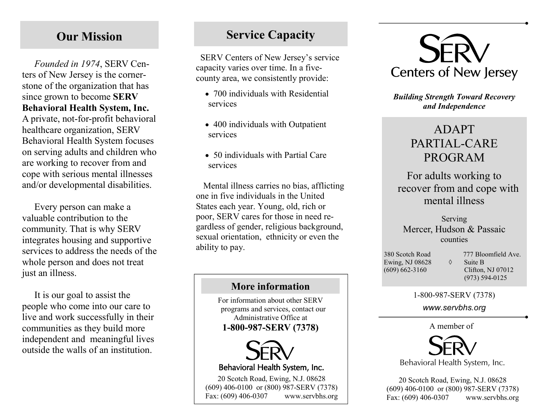# Our Mission

Founded in 1974, SERV Centers of New Jersey is the cornerstone of the organization that has since grown to become SERV Behavioral Health System, Inc. A private, not-for-profit behavioral healthcare organization, SERV Behavioral Health System focuses on serving adults and children who are working to recover from and cope with serious mental illnesses and/or developmental disabilities.

Every person can make a valuable contribution to the community. That is why SERV integrates housing and supportive services to address the needs of the whole person and does not treat just an illness.

It is our goal to assist the people who come into our care to live and work successfully in their communities as they build more independent and meaningful lives outside the walls of an institution.

# Service Capacity

 SERV Centers of New Jersey's service capacity varies over time. In a fivecounty area, we consistently provide:

- 700 individuals with Residential services
- 400 individuals with Outpatient services
- 50 individuals with Partial Care services

Mental illness carries no bias, afflicting one in five individuals in the United States each year. Young, old, rich or poor, SERV cares for those in need regardless of gender, religious background, sexual orientation, ethnicity or even the ability to pay.

### More information

For information about other SERV programs and services, contact our Administrative Office at 1-800-987-SERV (7378) A member of



Behavioral Health System, Inc.

20 Scotch Road, Ewing, N.J. 08628 (609) 406-0100 or (800) 987-SERV (7378) Fax: (609) 406-0307 www.servbhs.org



Building Strength Toward Recovery and Independence

# ADAPT PARTIAL-CARE PROGRAM

For adults working to recover from and cope with mental illness

Serving Mercer, Hudson & Passaic counties

Ewing, NJ 08628  $\Diamond$  Suite B (609) 662-3160 Clifton, NJ 07012

380 Scotch Road 777 Bloomfield Ave. (973) 594-0125

1-800-987-SERV (7378)

www.servbhs.org



20 Scotch Road, Ewing, N.J. 08628 (609) 406-0100 or (800) 987-SERV (7378) Fax: (609) 406-0307 www.servbhs.org